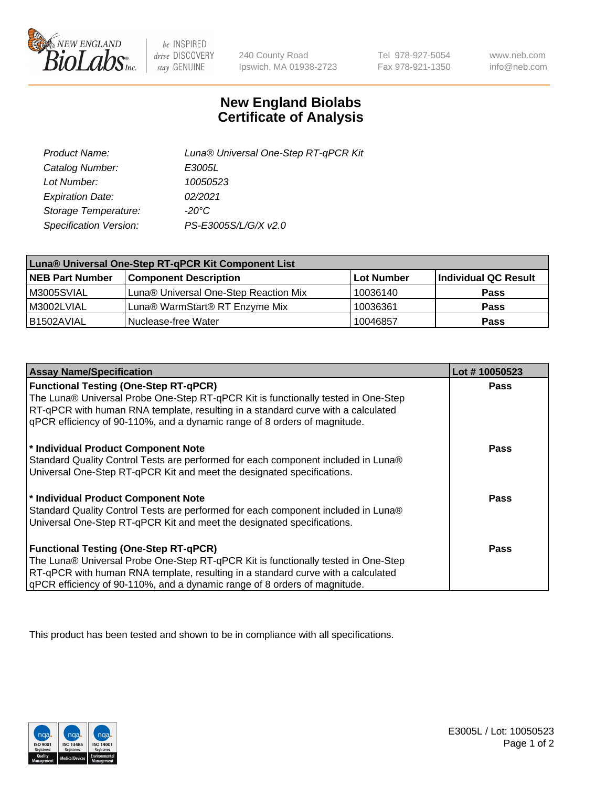

 $be$  INSPIRED drive DISCOVERY stay GENUINE

240 County Road Ipswich, MA 01938-2723

Tel 978-927-5054 Fax 978-921-1350 www.neb.com info@neb.com

## **New England Biolabs Certificate of Analysis**

| Product Name:           | Luna® Universal One-Step RT-qPCR Kit |
|-------------------------|--------------------------------------|
| Catalog Number:         | E3005L                               |
| Lot Number:             | 10050523                             |
| <b>Expiration Date:</b> | 02/2021                              |
| Storage Temperature:    | $-20^{\circ}$ C                      |
| Specification Version:  | PS-E3005S/L/G/X v2.0                 |

| Luna® Universal One-Step RT-qPCR Kit Component List |                                       |                   |                      |  |
|-----------------------------------------------------|---------------------------------------|-------------------|----------------------|--|
| <b>NEB Part Number</b>                              | <b>Component Description</b>          | <b>Lot Number</b> | Individual QC Result |  |
| IM3005SVIAL                                         | Luna® Universal One-Step Reaction Mix | 10036140          | Pass                 |  |
| M3002LVIAL                                          | Luna® WarmStart® RT Enzyme Mix        | 10036361          | <b>Pass</b>          |  |
| I B1502AVIAL                                        | l Nuclease-free Water                 | 10046857          | <b>Pass</b>          |  |

| <b>Assay Name/Specification</b>                                                   | Lot #10050523 |
|-----------------------------------------------------------------------------------|---------------|
| <b>Functional Testing (One-Step RT-qPCR)</b>                                      | <b>Pass</b>   |
| The Luna® Universal Probe One-Step RT-qPCR Kit is functionally tested in One-Step |               |
| RT-qPCR with human RNA template, resulting in a standard curve with a calculated  |               |
| gPCR efficiency of 90-110%, and a dynamic range of 8 orders of magnitude.         |               |
| * Individual Product Component Note                                               | <b>Pass</b>   |
| Standard Quality Control Tests are performed for each component included in Luna® |               |
| Universal One-Step RT-qPCR Kit and meet the designated specifications.            |               |
|                                                                                   |               |
| * Individual Product Component Note                                               | <b>Pass</b>   |
| Standard Quality Control Tests are performed for each component included in Luna® |               |
| Universal One-Step RT-qPCR Kit and meet the designated specifications.            |               |
|                                                                                   |               |
| <b>Functional Testing (One-Step RT-qPCR)</b>                                      | Pass          |
| The Luna® Universal Probe One-Step RT-qPCR Kit is functionally tested in One-Step |               |
| RT-qPCR with human RNA template, resulting in a standard curve with a calculated  |               |
| gPCR efficiency of 90-110%, and a dynamic range of 8 orders of magnitude.         |               |

This product has been tested and shown to be in compliance with all specifications.